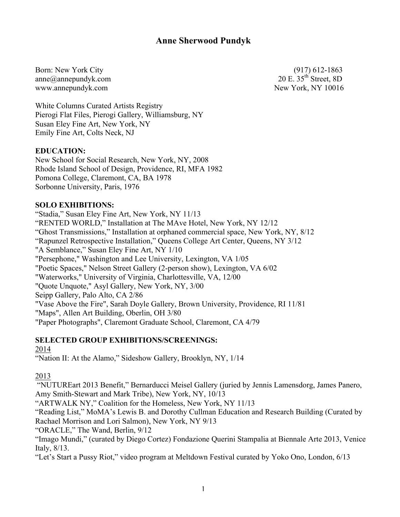# **Anne Sherwood Pundyk**

Born: New York City (917) 612-1863 anne $@$ annepundyk.com 20 E. 35<sup>th</sup> Street, 8D www.annepundyk.com New York, NY 10016

White Columns Curated Artists Registry Pierogi Flat Files, Pierogi Gallery, Williamsburg, NY Susan Eley Fine Art, New York, NY Emily Fine Art, Colts Neck, NJ

#### **EDUCATION:**

New School for Social Research, New York, NY, 2008 Rhode Island School of Design, Providence, RI, MFA 1982 Pomona College, Claremont, CA, BA 1978 Sorbonne University, Paris, 1976

#### **SOLO EXHIBITIONS:**

"Stadia," Susan Eley Fine Art, New York, NY 11/13 "RENTED WORLD," Installation at The MAve Hotel, New York, NY 12/12 "Ghost Transmissions," Installation at orphaned commercial space, New York, NY, 8/12 "Rapunzel Retrospective Installation," Queens College Art Center, Queens, NY 3/12 "A Semblance," Susan Eley Fine Art, NY 1/10 "Persephone," Washington and Lee University, Lexington, VA 1/05 "Poetic Spaces," Nelson Street Gallery (2-person show), Lexington, VA 6/02 "Waterworks," University of Virginia, Charlottesville, VA, 12/00 "Quote Unquote," Asyl Gallery, New York, NY, 3/00 Seipp Gallery, Palo Alto, CA 2/86 "Vase Above the Fire", Sarah Doyle Gallery, Brown University, Providence, RI 11/81 "Maps", Allen Art Building, Oberlin, OH 3/80 "Paper Photographs", Claremont Graduate School, Claremont, CA 4/79

#### **SELECTED GROUP EXHIBITIONS/SCREENINGS:**

#### 2014

"Nation II: At the Alamo," Sideshow Gallery, Brooklyn, NY, 1/14

2013

"NUTUREart 2013 Benefit," Bernarducci Meisel Gallery (juried by Jennis Lamensdorg, James Panero, Amy Smith-Stewart and Mark Tribe), New York, NY, 10/13

"ARTWALK NY," Coalition for the Homeless, New York, NY 11/13

"Reading List," MoMA's Lewis B. and Dorothy Cullman Education and Research Building (Curated by Rachael Morrison and Lori Salmon), New York, NY 9/13

"ORACLE," The Wand, Berlin, 9/12

"Imago Mundi," (curated by Diego Cortez) Fondazione Querini Stampalia at Biennale Arte 2013, Venice Italy, 8/13.

"Let's Start a Pussy Riot," video program at Meltdown Festival curated by Yoko Ono, London, 6/13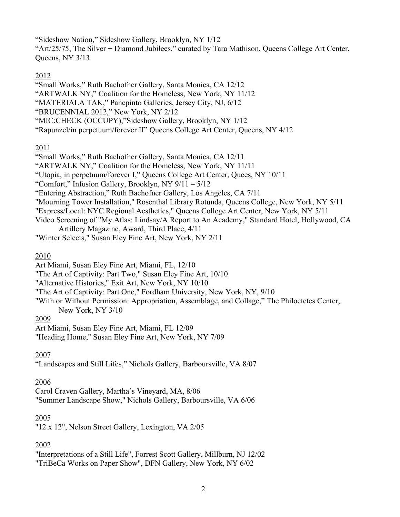"Sideshow Nation," Sideshow Gallery, Brooklyn, NY 1/12 "Art/25/75, The Silver + Diamond Jubilees," curated by Tara Mathison, Queens College Art Center, Queens, NY 3/13

### 2012

"Small Works," Ruth Bachofner Gallery, Santa Monica, CA 12/12

- "ARTWALK NY," Coalition for the Homeless, New York, NY 11/12
- "MATERIALA TAK," Panepinto Galleries, Jersey City, NJ, 6/12
- "BRUCENNIAL 2012," New York, NY 2/12
- "MIC:CHECK (OCCUPY),"Sideshow Gallery, Brooklyn, NY 1/12
- "Rapunzel/in perpetuum/forever II" Queens College Art Center, Queens, NY 4/12

### 2011

- "Small Works," Ruth Bachofner Gallery, Santa Monica, CA 12/11
- "ARTWALK NY," Coalition for the Homeless, New York, NY 11/11
- "Utopia, in perpetuum/forever I," Queens College Art Center, Quees, NY 10/11
- "Comfort," Infusion Gallery, Brooklyn, NY  $9/11 5/12$
- "Entering Abstraction," Ruth Bachofner Gallery, Los Angeles, CA 7/11
- "Mourning Tower Installation," Rosenthal Library Rotunda, Queens College, New York, NY 5/11
- "Express/Local: NYC Regional Aesthetics," Queens College Art Center, New York, NY 5/11
- Video Screening of "My Atlas: Lindsay/A Report to An Academy," Standard Hotel, Hollywood, CA Artillery Magazine, Award, Third Place, 4/11
- "Winter Selects," Susan Eley Fine Art, New York, NY 2/11

### 2010

- Art Miami, Susan Eley Fine Art, Miami, FL, 12/10
- "The Art of Captivity: Part Two," Susan Eley Fine Art, 10/10
- "Alternative Histories," Exit Art, New York, NY 10/10
- "The Art of Captivity: Part One," Fordham University, New York, NY, 9/10

"With or Without Permission: Appropriation, Assemblage, and Collage," The Philoctetes Center,

New York, NY 3/10

### 2009

Art Miami, Susan Eley Fine Art, Miami, FL 12/09

"Heading Home," Susan Eley Fine Art, New York, NY 7/09

## 2007

"Landscapes and Still Lifes," Nichols Gallery, Barboursville, VA 8/07

## 2006

Carol Craven Gallery, Martha's Vineyard, MA, 8/06 "Summer Landscape Show," Nichols Gallery, Barboursville, VA 6/06

### 2005

"12 x 12", Nelson Street Gallery, Lexington, VA 2/05

## 2002

"Interpretations of a Still Life", Forrest Scott Gallery, Millburn, NJ 12/02 "TriBeCa Works on Paper Show", DFN Gallery, New York, NY 6/02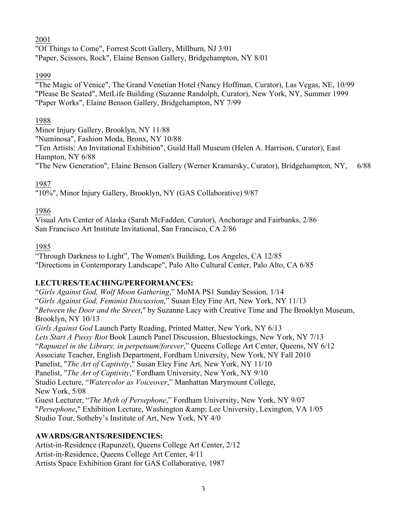2001

"Of Things to Come", Forrest Scott Gallery, Millburn, NJ 3/01 "Paper, Scissors, Rock", Elaine Benson Gallery, Bridgehampton, NY 8/01

## 1999

"The Magic of Venice", The Grand Venetian Hotel (Nancy Hoffman, Curator), Las Vegas, NE, 10/99 "Please Be Seated", MetLife Building (Suzanne Randolph, Curator), New York, NY, Summer 1999 "Paper Works", Elaine Benson Gallery, Bridgehampton, NY 7/99

## 1988

Minor Injury Gallery, Brooklyn, NY 11/88 "Numinosa", Fashion Moda, Bronx, NY 10/88 "Ten Artists: An Invitational Exhibition", Guild Hall Museum (Helen A. Harrison, Curator), East

Hampton, NY 6/88

"The New Generation", Elaine Benson Gallery (Werner Kramarsky, Curator), Bridgehampton, NY, 6/88

# 1987

"10%", Minor Injury Gallery, Brooklyn, NY (GAS Collaborative) 9/87

# 1986

Visual Arts Center of Alaska (Sarah McFadden, Curator), Anchorage and Fairbanks, 2/86 San Francisco Art Institute Invitational, San Francisco, CA 2/86

## 1985

"Through Darkness to Light", The Women's Building, Los Angeles, CA 12/85 "Directions in Contemporary Landscape", Palo Alto Cultural Center, Palo Alto, CA 6/85

# **LECTURES/TEACHING/PERFORMANCES:**

"*Girls Against God, Wolf Moon Gathering*," MoMA PS1 Sunday Session, 1/14 "*Girls Against God, Feminist Discussion*," Susan Eley Fine Art, New York, NY 11/13 "*Between the Door and the Street*," by Suzanne Lacy with Creative Time and The Brooklyn Museum, Brooklyn, NY 10/13 *Girls Against God* Launch Party Reading, Printed Matter, New York, NY 6/13 *Lets Start A Pussy Riot* Book Launch Panel Discussion, Bluestockings, New York, NY 7/13 "*Rapunzel in the Library, in perpetuum/forever*," Queens College Art Center, Queens, NY 6/12 Associate Teacher, English Department, Fordham University, New York, NY Fall 2010 Panelist, "*The Art of Captivity*," Susan Eley Fine Art, New York, NY 11/10 Panelist, "*The Art of Captivity*," Fordham University, New York, NY 9/10 Studio Lecture, "*Watercolor as Voiceover*," Manhattan Marymount College, New York, 5/08 Guest Lecturer, "*The Myth of Persephone*," Fordham University, New York, NY 9/07 "Persephone," Exhibition Lecture, Washington & amp; Lee University, Lexington, VA 1/05 Studio Tour, Sotheby's Institute of Art, New York, NY 4/0

# **AWARDS/GRANTS/RESIDENCIES:**

Artist-in-Residence (Rapunzel), Queens College Art Center, 2/12 Artist-in-Residence, Queens College Art Center, 4/11 Artists Space Exhibition Grant for GAS Collaborative, 1987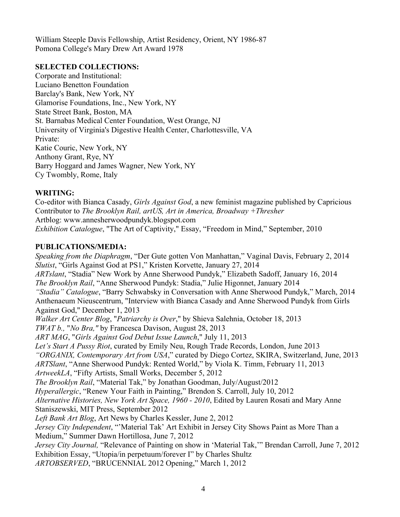William Steeple Davis Fellowship, Artist Residency, Orient, NY 1986-87 Pomona College's Mary Drew Art Award 1978

#### **SELECTED COLLECTIONS:**

Corporate and Institutional: Luciano Benetton Foundation Barclay's Bank, New York, NY Glamorise Foundations, Inc., New York, NY State Street Bank, Boston, MA St. Barnabas Medical Center Foundation, West Orange, NJ University of Virginia's Digestive Health Center, Charlottesville, VA Private: Katie Couric, New York, NY Anthony Grant, Rye, NY Barry Hoggard and James Wagner, New York, NY Cy Twombly, Rome, Italy

### **WRITING:**

Co-editor with Bianca Casady, *Girls Against God*, a new feminist magazine published by Capricious Contributor to *The Brooklyn Rail, artUS, Art in America, Broadway +Thresher* Artblog: www.annesherwoodpundyk.blogspot.com *Exhibition Catalogue*, "The Art of Captivity," Essay, "Freedom in Mind," September, 2010

### **PUBLICATIONS/MEDIA:**

*Speaking from the Diaphragm*, "Der Gute gotten Von Manhattan," Vaginal Davis, February 2, 2014 *Slutist*, "Girls Against God at PS1," Kristen Korvette, January 27, 2014 *ARTslant*, "Stadia" New Work by Anne Sherwood Pundyk," Elizabeth Sadoff, January 16, 2014 *The Brooklyn Rail*, "Anne Sherwood Pundyk: Stadia," Julie Higonnet, January 2014 *"Stadia" Catalogue*, "Barry Schwabsky in Conversation with Anne Sherwood Pundyk," March, 2014 Anthenaeum Nieuscentrum, "Interview with Bianca Casady and Anne Sherwood Pundyk from Girls Against God," December 1, 2013 *Walker Art Center Blog*, "*Patriarchy is Over*," by Shieva Salehnia, October 18, 2013 *TWAT b.,* "*No Bra,"* by Francesca Davison, August 28, 2013 *ART MAG*, "*Girls Against God Debut Issue Launch*," July 11, 2013 *Let's Start A Pussy Riot*, curated by Emily Neu, Rough Trade Records, London, June 2013 *"ORGANIX, Contemporary Art from USA*," curated by Diego Cortez, SKIRA, Switzerland, June, 2013 *ARTSlant*, "Anne Sherwood Pundyk: Rented World," by Viola K. Timm, February 11, 2013 *ArtweekLA*, "Fifty Artists, Small Works, December 5, 2012 *The Brooklyn Rail*, "Material Tak," by Jonathan Goodman, July/August/2012 *Hyperallergic*, "Renew Your Faith in Painting," Brendon S. Carroll, July 10, 2012 *Alternative Histories, New York Art Space, 1960 - 2010*, Edited by Lauren Rosati and Mary Anne Staniszewski, MIT Press, September 2012 *Left Bank Art Blog*, Art News by Charles Kessler, June 2, 2012 *Jersey City Independent*, "'Material Tak' Art Exhibit in Jersey City Shows Paint as More Than a Medium," Summer Dawn Hortillosa, June 7, 2012 *Jersey City Journal,* "Relevance of Painting on show in 'Material Tak,'" Brendan Carroll, June 7, 2012 Exhibition Essay, "Utopia/in perpetuum/forever I" by Charles Shultz *ARTOBSERVED*, "BRUCENNIAL 2012 Opening," March 1, 2012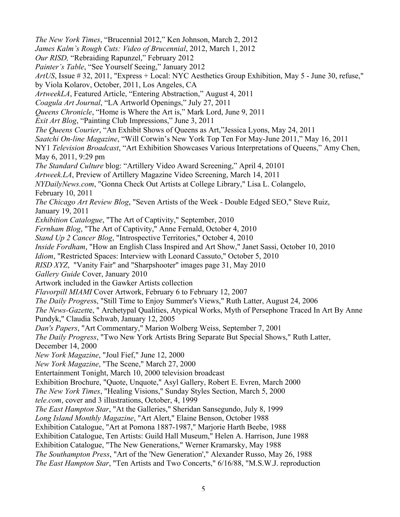*The New York Times*, "Brucennial 2012," Ken Johnson, March 2, 2012 *James Kalm's Rough Cuts: Video of Brucennial*, 2012, March 1, 2012 *Our RISD,* "Rebraiding Rapunzel," February 2012 *Painter's Table*, "See Yourself Seeing," January 2012 *ArtUS*, Issue # 32, 2011, "Express + Local: NYC Aesthetics Group Exhibition, May 5 - June 30, refuse," by Viola Kolarov, October, 2011, Los Angeles, CA *ArtweekLA*, Featured Article, "Entering Abstraction," August 4, 2011 *Coagula Art Journal*, "LA Artworld Openings," July 27, 2011 *Queens Chronicle*, "Home is Where the Art is," Mark Lord, June 9, 2011 *Exit Art Blog*, "Painting Club Impressions," June 3, 2011 *The Queens Courier*, "An Exhibit Shows of Queens as Art,"Jessica Lyons, May 24, 2011 *Saatchi On-line Magazine*, "Will Corwin's New York Top Ten For May-June 2011," May 16, 2011 NY1 *Television Broadcast*, "Art Exhibition Showcases Various Interpretations of Queens," Amy Chen, May 6, 2011, 9:29 pm *The Standard Culture* blog: "Artillery Video Award Screening," April 4, 20101 *Artweek.LA*, Preview of Artillery Magazine Video Screening, March 14, 2011 *NYDailyNews.com*, "Gonna Check Out Artists at College Library," Lisa L. Colangelo, February 10, 2011 *The Chicago Art Review Blog*, "Seven Artists of the Week - Double Edged SEO," Steve Ruiz, January 19, 2011 *Exhibition Catalogue*, "The Art of Captivity," September, 2010 *Fernham Blog*, "The Art of Captivity," Anne Fernald, October 4, 2010 *Stand Up 2 Cancer Blog*, "Introspective Territories," October 4, 2010 *Inside Fordham*, "How an English Class Inspired and Art Show," Janet Sassi, October 10, 2010 *Idiom*, "Restricted Spaces: Interview with Leonard Cassuto," October 5, 2010 *RISD XYZ*, "Vanity Fair" and "Sharpshooter" images page 31, May 2010 *Gallery Guide* Cover, January 2010 Artwork included in the Gawker Artists collection *Flavorpill MIAMI* Cover Artwork, February 6 to February 12, 2007 *The Daily Progres*s, "Still Time to Enjoy Summer's Views," Ruth Latter, August 24, 2006 *The News-Gazett*e, " Archetypal Qualities, Atypical Works, Myth of Persephone Traced In Art By Anne Pundyk," Claudia Schwab, January 12, 2005 *Dan's Papers*, "Art Commentary," Marion Wolberg Weiss, September 7, 2001 *The Daily Progress*, "Two New York Artists Bring Separate But Special Shows," Ruth Latter, December 14, 2000 *New York Magazine*, "Joul Fief," June 12, 2000 *New York Magazine*, "The Scene," March 27, 2000 Entertainment Tonight, March 10, 2000 television broadcast Exhibition Brochure, "Quote, Unquote," Asyl Gallery, Robert E. Evren, March 2000 *The New York Times*, "Healing Visions," Sunday Styles Section, March 5, 2000 *tele.com*, cover and 3 illustrations, October, 4, 1999 *The East Hampton Star*, "At the Galleries," Sheridan Sansegundo, July 8, 1999 *Long Island Monthly Magazine*, "Art Alert," Elaine Benson, October 1988 Exhibition Catalogue, "Art at Pomona 1887-1987," Marjorie Harth Beebe, 1988 Exhibition Catalogue, Ten Artists: Guild Hall Museum," Helen A. Harrison, June 1988 Exhibition Catalogue, "The New Generations," Werner Kramarsky, May 1988 *The Southampton Press*, "Art of the 'New Generation'," Alexander Russo, May 26, 1988 *The East Hampton Star*, "Ten Artists and Two Concerts," 6/16/88, "M.S.W.J. reproduction